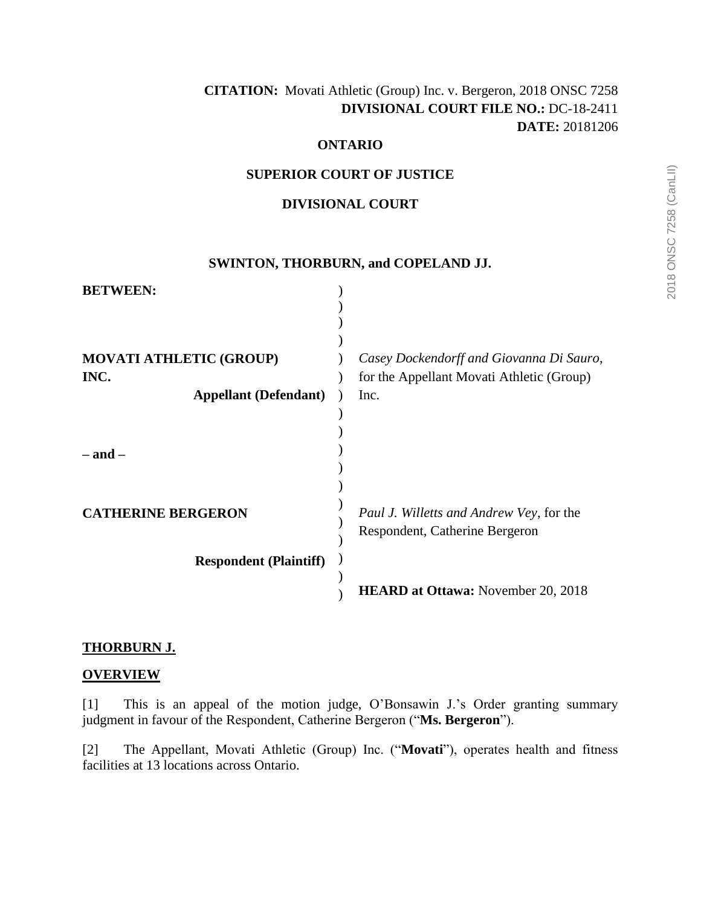# **CITATION:** Movati Athletic (Group) Inc. v. Bergeron, 2018 ONSC 7258  **DIVISIONAL COURT FILE NO.:** DC-18-2411 **DATE:** 20181206

#### **ONTARIO**

#### **SUPERIOR COURT OF JUSTICE**

#### **DIVISIONAL COURT**

#### **SWINTON, THORBURN, and COPELAND JJ.**

| <b>BETWEEN:</b>                |                                           |
|--------------------------------|-------------------------------------------|
|                                |                                           |
|                                |                                           |
|                                |                                           |
| <b>MOVATI ATHLETIC (GROUP)</b> | Casey Dockendorff and Giovanna Di Sauro,  |
| INC.                           | for the Appellant Movati Athletic (Group) |
| <b>Appellant (Defendant)</b>   | Inc.                                      |
|                                |                                           |
|                                |                                           |
| $-$ and $-$                    |                                           |
|                                |                                           |
|                                |                                           |
| <b>CATHERINE BERGERON</b>      | Paul J. Willetts and Andrew Vey, for the  |
|                                | Respondent, Catherine Bergeron            |
|                                |                                           |
| <b>Respondent (Plaintiff)</b>  |                                           |
|                                |                                           |
|                                | <b>HEARD at Ottawa:</b> November 20, 2018 |

## **THORBURN J.**

## **OVERVIEW**

[1] This is an appeal of the motion judge, O'Bonsawin J.'s Order granting summary judgment in favour of the Respondent, Catherine Bergeron ("**Ms. Bergeron**").

[2] The Appellant, Movati Athletic (Group) Inc. ("**Movati**"), operates health and fitness facilities at 13 locations across Ontario.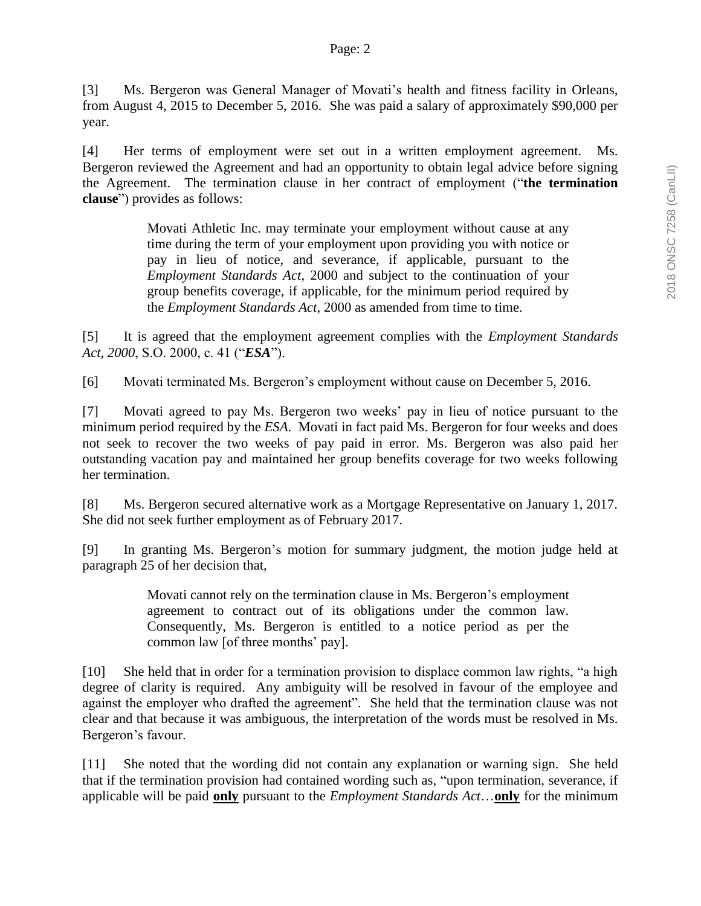[3] Ms. Bergeron was General Manager of Movati's health and fitness facility in Orleans, from August 4, 2015 to December 5, 2016. She was paid a salary of approximately \$90,000 per year.

[4] Her terms of employment were set out in a written employment agreement. Ms. Bergeron reviewed the Agreement and had an opportunity to obtain legal advice before signing the Agreement. The termination clause in her contract of employment ("**the termination clause**") provides as follows:

> Movati Athletic Inc. may terminate your employment without cause at any time during the term of your employment upon providing you with notice or pay in lieu of notice, and severance, if applicable, pursuant to the *Employment Standards Act*, 2000 and subject to the continuation of your group benefits coverage, if applicable, for the minimum period required by the *Employment Standards Act*, 2000 as amended from time to time.

[5] It is agreed that the employment agreement complies with the *Employment Standards Act, 2000*, S.O. 2000, c. 41 ("*ESA*").

[6] Movati terminated Ms. Bergeron's employment without cause on December 5, 2016.

[7] Movati agreed to pay Ms. Bergeron two weeks' pay in lieu of notice pursuant to the minimum period required by the *ESA*. Movati in fact paid Ms. Bergeron for four weeks and does not seek to recover the two weeks of pay paid in error. Ms. Bergeron was also paid her outstanding vacation pay and maintained her group benefits coverage for two weeks following her termination.

[8] Ms. Bergeron secured alternative work as a Mortgage Representative on January 1, 2017. She did not seek further employment as of February 2017.

[9] In granting Ms. Bergeron's motion for summary judgment, the motion judge held at paragraph 25 of her decision that,

> Movati cannot rely on the termination clause in Ms. Bergeron's employment agreement to contract out of its obligations under the common law. Consequently, Ms. Bergeron is entitled to a notice period as per the common law [of three months' pay].

[10] She held that in order for a termination provision to displace common law rights, "a high degree of clarity is required. Any ambiguity will be resolved in favour of the employee and against the employer who drafted the agreement". She held that the termination clause was not clear and that because it was ambiguous, the interpretation of the words must be resolved in Ms. Bergeron's favour.

[11] She noted that the wording did not contain any explanation or warning sign. She held that if the termination provision had contained wording such as, "upon termination, severance, if applicable will be paid **only** pursuant to the *Employment Standards Act*…**only** for the minimum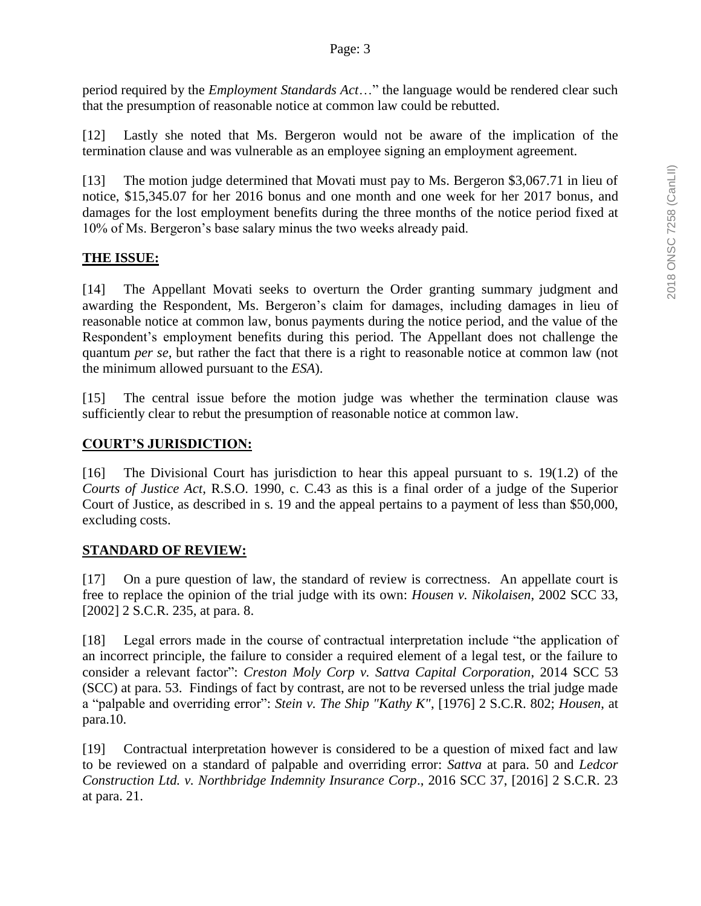period required by the *Employment Standards Act*…" the language would be rendered clear such that the presumption of reasonable notice at common law could be rebutted.

[12] Lastly she noted that Ms. Bergeron would not be aware of the implication of the termination clause and was vulnerable as an employee signing an employment agreement.

[13] The motion judge determined that Movati must pay to Ms. Bergeron \$3,067.71 in lieu of notice, \$15,345.07 for her 2016 bonus and one month and one week for her 2017 bonus, and damages for the lost employment benefits during the three months of the notice period fixed at 10% of Ms. Bergeron's base salary minus the two weeks already paid.

# **THE ISSUE:**

[14] The Appellant Movati seeks to overturn the Order granting summary judgment and awarding the Respondent, Ms. Bergeron's claim for damages, including damages in lieu of reasonable notice at common law, bonus payments during the notice period, and the value of the Respondent's employment benefits during this period. The Appellant does not challenge the quantum *per se*, but rather the fact that there is a right to reasonable notice at common law (not the minimum allowed pursuant to the *ESA*).

[15] The central issue before the motion judge was whether the termination clause was sufficiently clear to rebut the presumption of reasonable notice at common law.

## **COURT'S JURISDICTION:**

[16] The Divisional Court has jurisdiction to hear this appeal pursuant to s. 19(1.2) of the *Courts of Justice Act*, R.S.O. 1990, c. C.43 as this is a final order of a judge of the Superior Court of Justice, as described in s. 19 and the appeal pertains to a payment of less than \$50,000, excluding costs.

## **STANDARD OF REVIEW:**

[17] On a pure question of law, the standard of review is correctness. An appellate court is free to replace the opinion of the trial judge with its own: *Housen v. Nikolaisen*, 2002 SCC 33, [2002] 2 S.C.R. 235, at para. 8.

[18] Legal errors made in the course of contractual interpretation include "the application of an incorrect principle, the failure to consider a required element of a legal test, or the failure to consider a relevant factor": *Creston Moly Corp v. Sattva Capital Corporation*, 2014 SCC 53 (SCC) at para. 53. Findings of fact by contrast, are not to be reversed unless the trial judge made a "palpable and overriding error": *[Stein v. The Ship "Kathy K"](https://webmail.ontario.ca/owa/redir.aspx?C=tnZ1RMzDva5EZoDwDpzjQoYhdMNs-MepCdnAEyNkXvPFKllGrkzWCA..&URL=https%3a%2f%2fnextcanada.westlaw.com%2fLink%2fDocument%2fFullText%3ffindType%3dY%26serNum%3d1976025140%26pubNum%3d0005156%26originatingDoc%3dI22f7a8fb0d9e452ee0440003ba0d6c6d%26refType%3dIC%26originationContext%3ddocument%26transitionType%3dDocumentItem%26contextData%3d(sc.Keycite))*, [1976] 2 S.C.R. 802; *Housen*, at [para.10.](https://webmail.ontario.ca/owa/redir.aspx?C=tnZ1RMzDva5EZoDwDpzjQoYhdMNs-MepCdnAEyNkXvPFKllGrkzWCA..&URL=https%3a%2f%2fnextcanada.westlaw.com%2fLink%2fDocument%2fFullText%3ffindType%3dY%26serNum%3d1976025140%26pubNum%3d0005156%26originatingDoc%3dI22f7a8fb0d9e452ee0440003ba0d6c6d%26refType%3dIC%26originationContext%3ddocument%26transitionType%3dDocumentItem%26contextData%3d(sc.Keycite))

[19] Contractual interpretation however is considered to be a question of mixed fact and law to be reviewed on a standard of palpable and overriding error: *Sattva* at para. 50 and *Ledcor Construction Ltd. v. Northbridge Indemnity Insurance Corp*., 2016 SCC 37, [2016] 2 S.C.R. 23 at para. 21.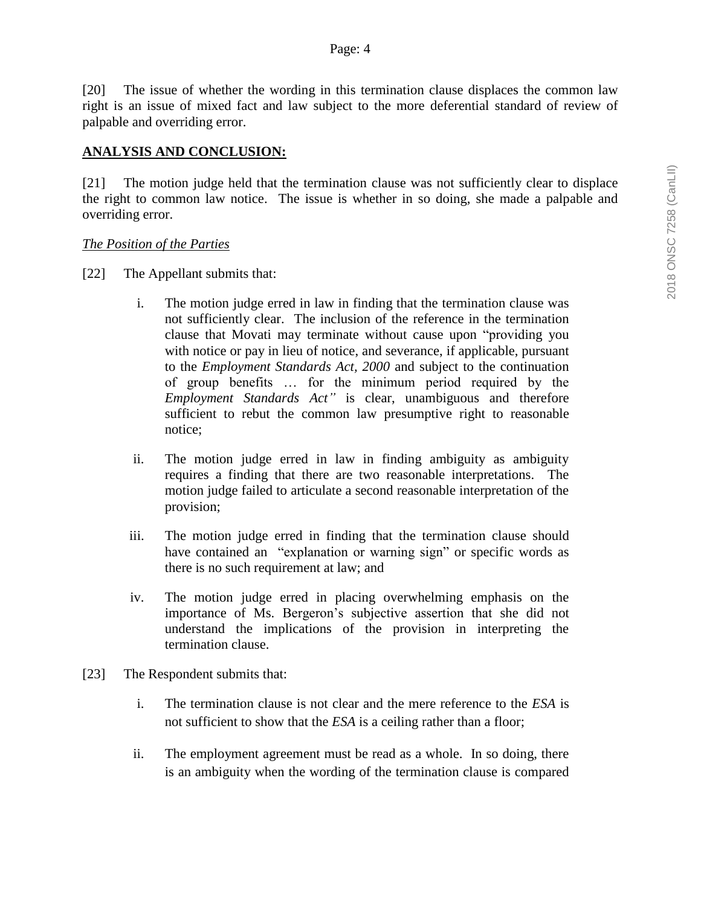[20] The issue of whether the wording in this termination clause displaces the common law right is an issue of mixed fact and law subject to the more deferential standard of review of palpable and overriding error.

#### **ANALYSIS AND CONCLUSION:**

[21] The motion judge held that the termination clause was not sufficiently clear to displace the right to common law notice. The issue is whether in so doing, she made a palpable and overriding error.

#### *The Position of the Parties*

- [22] The Appellant submits that:
	- i. The motion judge erred in law in finding that the termination clause was not sufficiently clear. The inclusion of the reference in the termination clause that Movati may terminate without cause upon "providing you with notice or pay in lieu of notice, and severance, if applicable, pursuant to the *Employment Standards Act, 2000* and subject to the continuation of group benefits … for the minimum period required by the *Employment Standards Act"* is clear, unambiguous and therefore sufficient to rebut the common law presumptive right to reasonable notice;
	- ii. The motion judge erred in law in finding ambiguity as ambiguity requires a finding that there are two reasonable interpretations. The motion judge failed to articulate a second reasonable interpretation of the provision;
	- iii. The motion judge erred in finding that the termination clause should have contained an "explanation or warning sign" or specific words as there is no such requirement at law; and
	- iv. The motion judge erred in placing overwhelming emphasis on the importance of Ms. Bergeron's subjective assertion that she did not understand the implications of the provision in interpreting the termination clause.
- [23] The Respondent submits that:
	- i. The termination clause is not clear and the mere reference to the *ESA* is not sufficient to show that the *ESA* is a ceiling rather than a floor;
	- ii. The employment agreement must be read as a whole. In so doing, there is an ambiguity when the wording of the termination clause is compared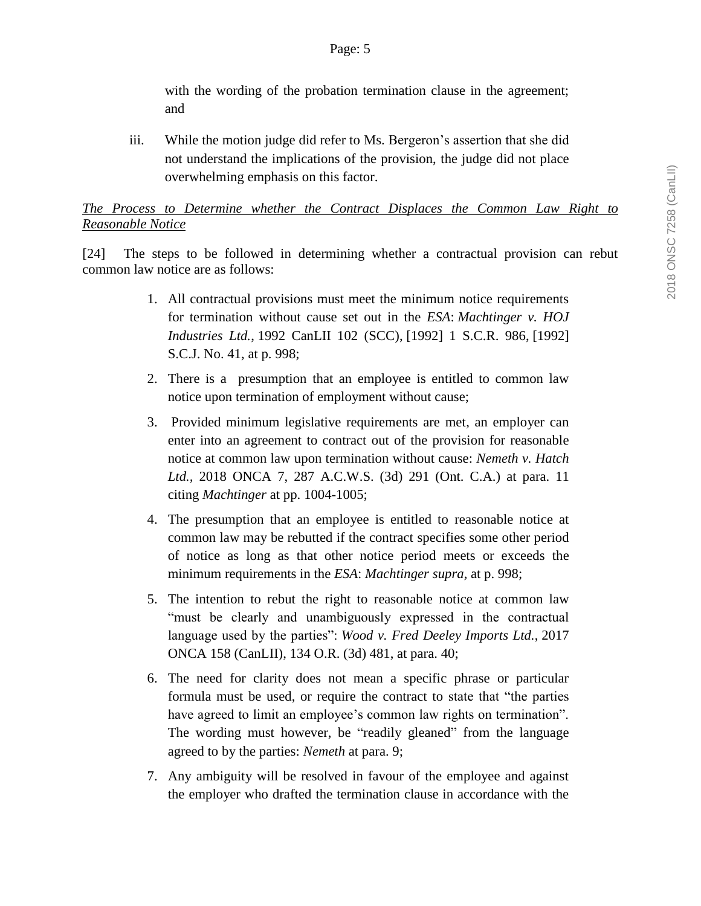with the wording of the probation termination clause in the agreement; and

iii. While the motion judge did refer to Ms. Bergeron's assertion that she did not understand the implications of the provision, the judge did not place overwhelming emphasis on this factor.

## *The Process to Determine whether the Contract Displaces the Common Law Right to Reasonable Notice*

[24] The steps to be followed in determining whether a contractual provision can rebut common law notice are as follows:

- 1. All contractual provisions must meet the minimum notice requirements for termination without cause set out in the *[ESA](https://www.canlii.org/en/on/laws/stat/so-2000-c-41/latest/so-2000-c-41.html)*: *Machtinger v. HOJ Industries Ltd.*, [1992 CanLII 102 \(SCC\),](https://www.canlii.org/en/ca/scc/doc/1992/1992canlii102/1992canlii102.html) [1992] 1 S.C.R. 986, [1992] S.C.J. No. 41, at p. 998;
- 2. There is a presumption that an employee is entitled to common law notice upon termination of employment without cause;
- 3. Provided minimum legislative requirements are met, an employer can enter into an agreement to contract out of the provision for reasonable notice at common law upon termination without cause: *Nemeth v. Hatch Ltd.,* 2018 ONCA 7, 287 A.C.W.S. (3d) 291 (Ont. C.A.) at para. 11 citing *Machtinger* at pp. 1004-1005;
- 4. The presumption that an employee is entitled to reasonable notice at common law may be rebutted if the contract specifies some other period of notice as long as that other notice period meets or exceeds the minimum requirements in the *[ESA](https://www.canlii.org/en/on/laws/stat/so-2000-c-41/latest/so-2000-c-41.html)*: *Machtinger supra,* at p. 998;
- 5. The intention to rebut the right to reasonable notice at common law "must be clearly and unambiguously expressed in the contractual language used by the parties": *Wood v. Fred Deeley Imports Ltd.*, [2017](https://www.canlii.org/en/on/onca/doc/2017/2017onca158/2017onca158.html)  [ONCA 158](https://www.canlii.org/en/on/onca/doc/2017/2017onca158/2017onca158.html) (CanLII), 134 O.R. (3d) 481, at para. 40;
- 6. The need for clarity does not mean a specific phrase or particular formula must be used, or require the contract to state that "the parties have agreed to limit an employee's common law rights on termination". The wording must however, be "readily gleaned" from the language agreed to by the parties: *Nemeth* at para. 9;
- 7. Any ambiguity will be resolved in favour of the employee and against the employer who drafted the termination clause in accordance with the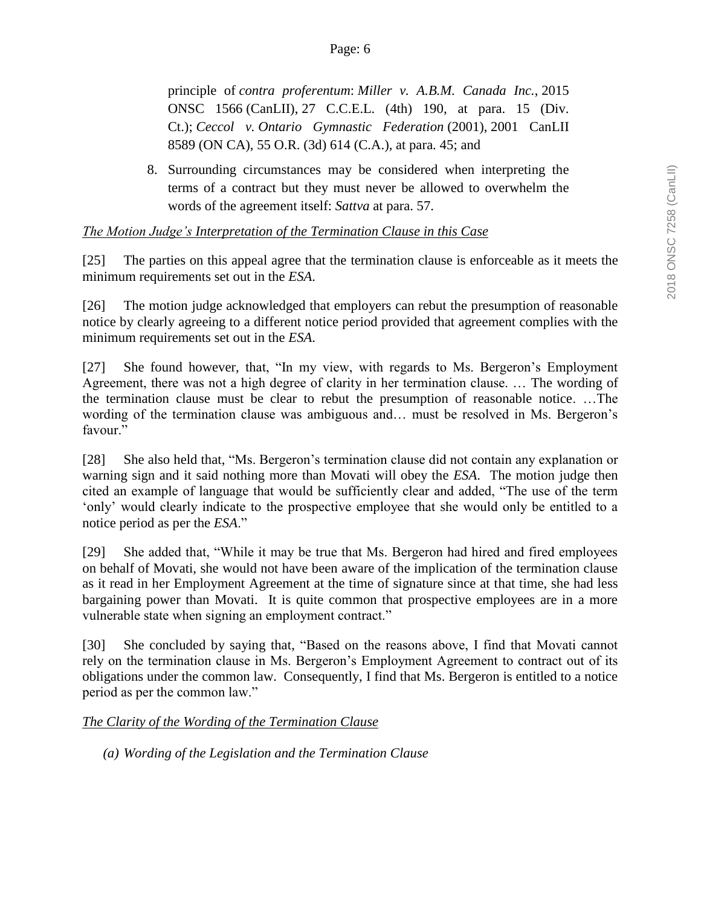principle of *contra proferentum*: *Miller v. A.B.M. Canada Inc.*, [2015](https://www.canlii.org/en/on/onscdc/doc/2015/2015onsc1566/2015onsc1566.html)  [ONSC 1566](https://www.canlii.org/en/on/onscdc/doc/2015/2015onsc1566/2015onsc1566.html) (CanLII), 27 C.C.E.L. (4th) 190, at para. 15 (Div. Ct.); *Ceccol v. Ontario Gymnastic Federation* (2001), [2001 CanLII](https://www.canlii.org/en/on/onca/doc/2001/2001canlii8589/2001canlii8589.html)  [8589 \(ON CA\),](https://www.canlii.org/en/on/onca/doc/2001/2001canlii8589/2001canlii8589.html) 55 O.R. (3d) 614 (C.A.), at para. 45; and

8. Surrounding circumstances may be considered when interpreting the terms of a contract but they must never be allowed to overwhelm the words of the agreement itself: *Sattva* at para. 57.

## *The Motion Judge's Interpretation of the Termination Clause in this Case*

[25] The parties on this appeal agree that the termination clause is enforceable as it meets the minimum requirements set out in the *ESA*.

[26] The motion judge acknowledged that employers can rebut the presumption of reasonable notice by clearly agreeing to a different notice period provided that agreement complies with the minimum requirements set out in the *ESA*.

[27] She found however, that, "In my view, with regards to Ms. Bergeron's Employment Agreement, there was not a high degree of clarity in her termination clause. … The wording of the termination clause must be clear to rebut the presumption of reasonable notice. …The wording of the termination clause was ambiguous and… must be resolved in Ms. Bergeron's favour."

[28] She also held that, "Ms. Bergeron's termination clause did not contain any explanation or warning sign and it said nothing more than Movati will obey the *ESA*. The motion judge then cited an example of language that would be sufficiently clear and added, "The use of the term 'only' would clearly indicate to the prospective employee that she would only be entitled to a notice period as per the *ESA*."

[29] She added that, "While it may be true that Ms. Bergeron had hired and fired employees on behalf of Movati, she would not have been aware of the implication of the termination clause as it read in her Employment Agreement at the time of signature since at that time, she had less bargaining power than Movati. It is quite common that prospective employees are in a more vulnerable state when signing an employment contract."

[30] She concluded by saying that, "Based on the reasons above, I find that Movati cannot rely on the termination clause in Ms. Bergeron's Employment Agreement to contract out of its obligations under the common law. Consequently, I find that Ms. Bergeron is entitled to a notice period as per the common law."

## *The Clarity of the Wording of the Termination Clause*

*(a) Wording of the Legislation and the Termination Clause*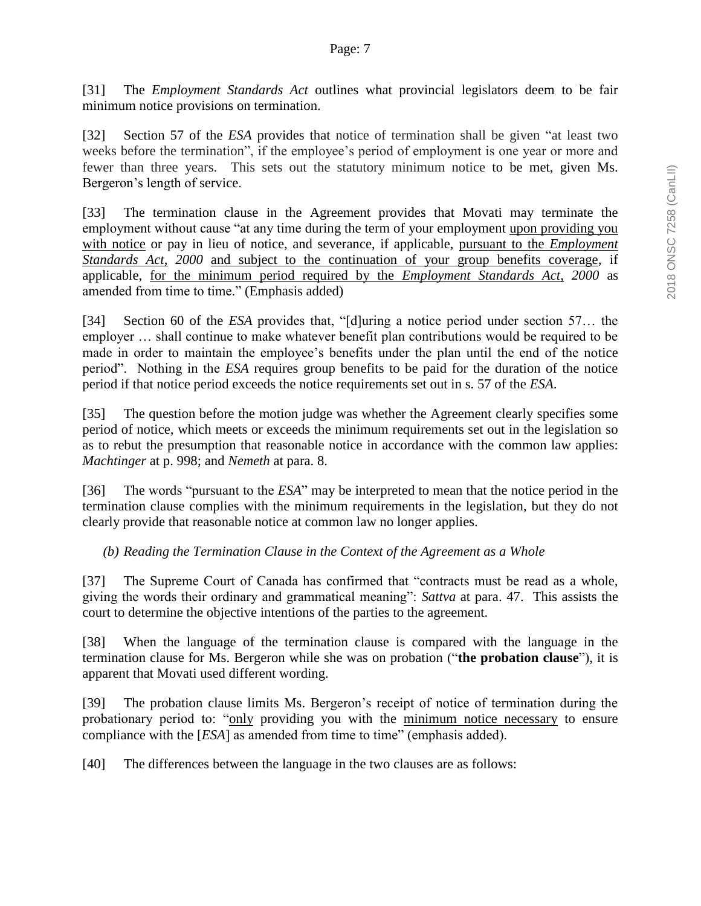[31] The *Employment Standards Act* outlines what provincial legislators deem to be fair minimum notice provisions on termination.

[32] Section 57 of the *ESA* provides that notice of termination shall be given "at least two weeks before the termination", if the employee's period of employment is one year or more and fewer than three years. This sets out the statutory minimum notice to be met, given Ms. Bergeron's length of service.

[33] The termination clause in the Agreement provides that Movati may terminate the employment without cause "at any time during the term of your employment upon providing you with notice or pay in lieu of notice, and severance, if applicable, pursuant to the *Employment Standards Act*, *2000* and subject to the continuation of your group benefits coverage, if applicable, for the minimum period required by the *Employment Standards Act*, *2000* as amended from time to time." (Emphasis added)

[34] Section 60 of the *ESA* provides that, "[d]uring a notice period under section 57… the employer … shall continue to make whatever benefit plan contributions would be required to be made in order to maintain the employee's benefits under the plan until the end of the notice period". Nothing in the *ESA* requires group benefits to be paid for the duration of the notice period if that notice period exceeds the notice requirements set out in s. 57 of the *ESA*.

[35] The question before the motion judge was whether the Agreement clearly specifies some period of notice, which meets or exceeds the minimum requirements set out in the legislation so as to rebut the presumption that reasonable notice in accordance with the common law applies: *Machtinger* at p. 998; and *Nemeth* at para. 8.

[36] The words "pursuant to the *ESA*" may be interpreted to mean that the notice period in the termination clause complies with the minimum requirements in the legislation, but they do not clearly provide that reasonable notice at common law no longer applies.

*(b) Reading the Termination Clause in the Context of the Agreement as a Whole*

[37] The Supreme Court of Canada has confirmed that "contracts must be read as a whole, giving the words their ordinary and grammatical meaning": *Sattva* at para. 47. This assists the court to determine the objective intentions of the parties to the agreement.

[38] When the language of the termination clause is compared with the language in the termination clause for Ms. Bergeron while she was on probation ("**the probation clause**"), it is apparent that Movati used different wording.

[39] The probation clause limits Ms. Bergeron's receipt of notice of termination during the probationary period to: "only providing you with the minimum notice necessary to ensure compliance with the [*ESA*] as amended from time to time" (emphasis added).

[40] The differences between the language in the two clauses are as follows: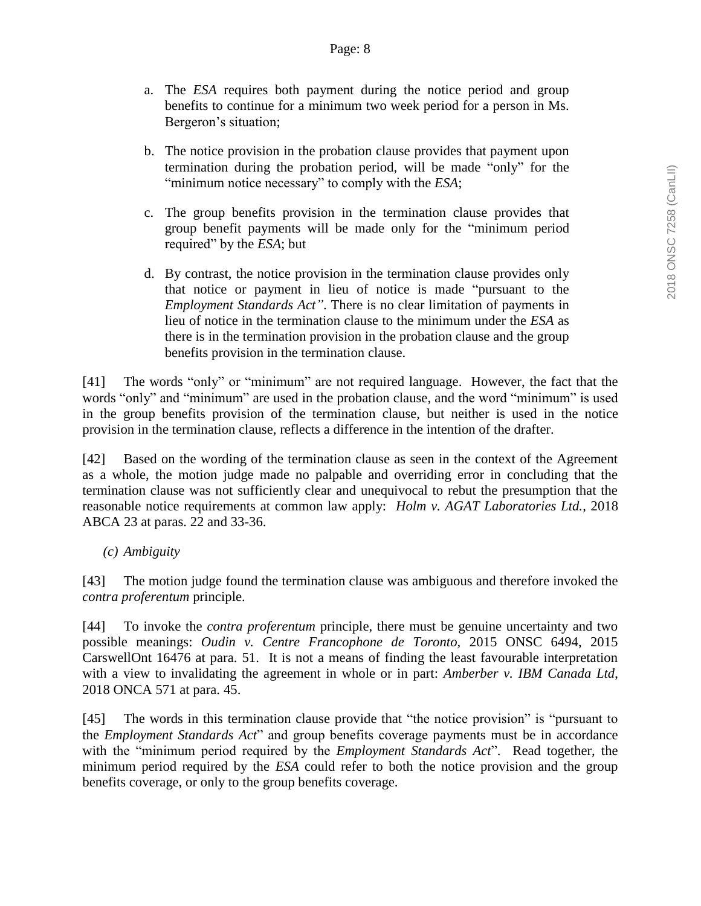- a. The *ESA* requires both payment during the notice period and group benefits to continue for a minimum two week period for a person in Ms. Bergeron's situation;
- b. The notice provision in the probation clause provides that payment upon termination during the probation period, will be made "only" for the "minimum notice necessary" to comply with the *ESA*;
- c. The group benefits provision in the termination clause provides that group benefit payments will be made only for the "minimum period required" by the *ESA*; but
- d. By contrast, the notice provision in the termination clause provides only that notice or payment in lieu of notice is made "pursuant to the *Employment Standards Act"*. There is no clear limitation of payments in lieu of notice in the termination clause to the minimum under the *ESA* as there is in the termination provision in the probation clause and the group benefits provision in the termination clause.

[41] The words "only" or "minimum" are not required language. However, the fact that the words "only" and "minimum" are used in the probation clause, and the word "minimum" is used in the group benefits provision of the termination clause, but neither is used in the notice provision in the termination clause, reflects a difference in the intention of the drafter.

[42] Based on the wording of the termination clause as seen in the context of the Agreement as a whole, the motion judge made no palpable and overriding error in concluding that the termination clause was not sufficiently clear and unequivocal to rebut the presumption that the reasonable notice requirements at common law apply: *Holm v. AGAT Laboratories Ltd.*, 2018 ABCA 23 at paras. 22 and 33-36.

*(c) Ambiguity*

[43] The motion judge found the termination clause was ambiguous and therefore invoked the *contra proferentum* principle.

[44] To invoke the *contra proferentum* principle, there must be genuine uncertainty and two possible meanings: *Oudin v. Centre Francophone de Toronto,* 2015 ONSC 6494, 2015 CarswellOnt 16476 at para. 51. It is not a means of finding the least favourable interpretation with a view to invalidating the agreement in whole or in part: *Amberber v. IBM Canada Ltd*, 2018 ONCA 571 at para. 45.

[45] The words in this termination clause provide that "the notice provision" is "pursuant to the *Employment Standards Act*" and group benefits coverage payments must be in accordance with the "minimum period required by the *Employment Standards Act*". Read together, the minimum period required by the *ESA* could refer to both the notice provision and the group benefits coverage, or only to the group benefits coverage.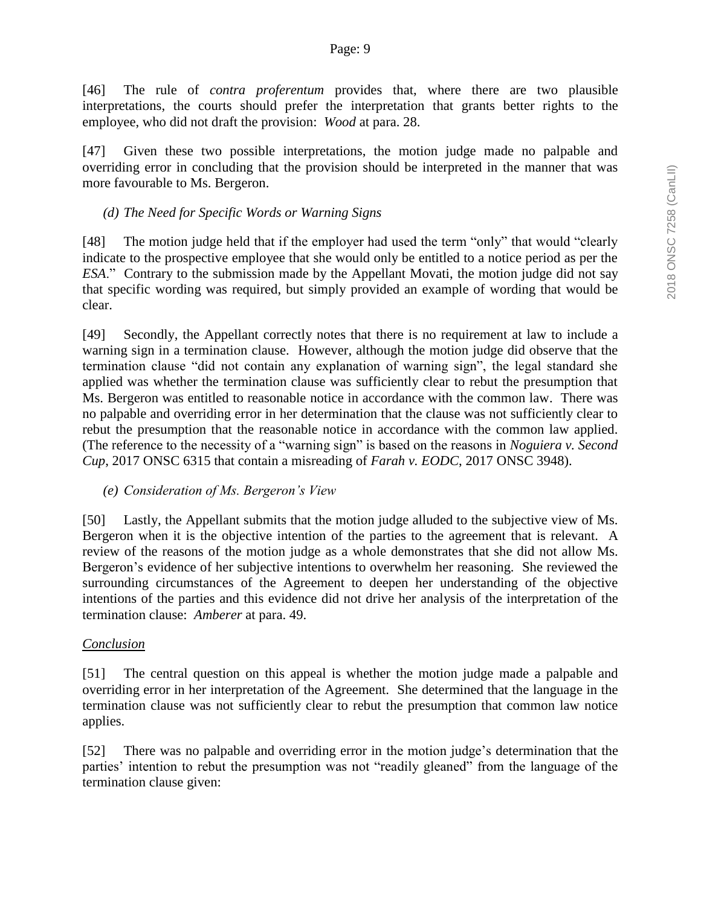[46] The rule of *contra proferentum* provides that, where there are two plausible interpretations, the courts should prefer the interpretation that grants better rights to the employee, who did not draft the provision: *Wood* at para. 28.

[47] Given these two possible interpretations, the motion judge made no palpable and overriding error in concluding that the provision should be interpreted in the manner that was more favourable to Ms. Bergeron.

## *(d) The Need for Specific Words or Warning Signs*

[48] The motion judge held that if the employer had used the term "only" that would "clearly indicate to the prospective employee that she would only be entitled to a notice period as per the *ESA*." Contrary to the submission made by the Appellant Movati, the motion judge did not say that specific wording was required, but simply provided an example of wording that would be clear.

[49] Secondly, the Appellant correctly notes that there is no requirement at law to include a warning sign in a termination clause. However, although the motion judge did observe that the termination clause "did not contain any explanation of warning sign", the legal standard she applied was whether the termination clause was sufficiently clear to rebut the presumption that Ms. Bergeron was entitled to reasonable notice in accordance with the common law. There was no palpable and overriding error in her determination that the clause was not sufficiently clear to rebut the presumption that the reasonable notice in accordance with the common law applied. (The reference to the necessity of a "warning sign" is based on the reasons in *Noguiera v. Second Cup*, 2017 ONSC 6315 that contain a misreading of *Farah v. EODC*, 2017 ONSC 3948).

*(e) Consideration of Ms. Bergeron's View* 

[50] Lastly, the Appellant submits that the motion judge alluded to the subjective view of Ms. Bergeron when it is the objective intention of the parties to the agreement that is relevant. A review of the reasons of the motion judge as a whole demonstrates that she did not allow Ms. Bergeron's evidence of her subjective intentions to overwhelm her reasoning. She reviewed the surrounding circumstances of the Agreement to deepen her understanding of the objective intentions of the parties and this evidence did not drive her analysis of the interpretation of the termination clause: *Amberer* at para. 49.

## *Conclusion*

[51] The central question on this appeal is whether the motion judge made a palpable and overriding error in her interpretation of the Agreement. She determined that the language in the termination clause was not sufficiently clear to rebut the presumption that common law notice applies.

[52] There was no palpable and overriding error in the motion judge's determination that the parties' intention to rebut the presumption was not "readily gleaned" from the language of the termination clause given: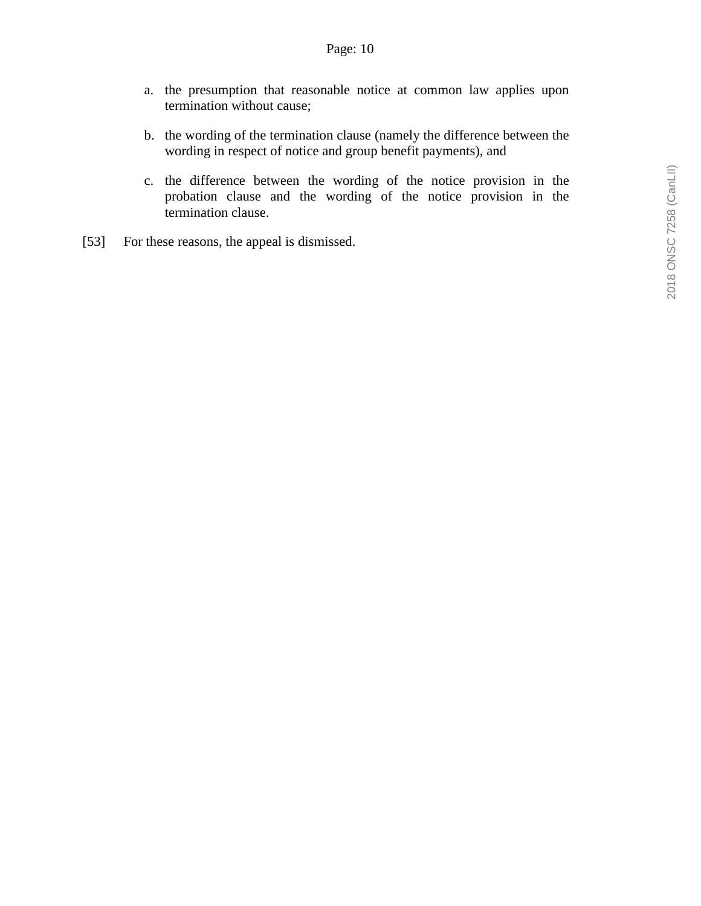- a. the presumption that reasonable notice at common law applies upon termination without cause;
- b. the wording of the termination clause (namely the difference between the wording in respect of notice and group benefit payments), and
- c. the difference between the wording of the notice provision in the probation clause and the wording of the notice provision in the termination clause.
- [53] For these reasons, the appeal is dismissed.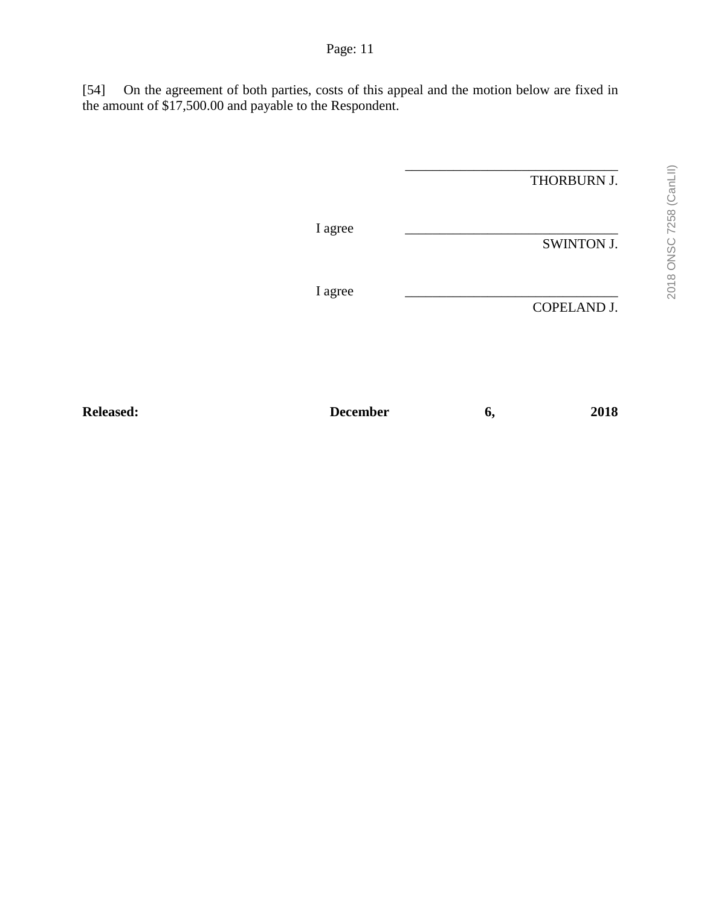[54] On the agreement of both parties, costs of this appeal and the motion below are fixed in the amount of \$17,500.00 and payable to the Respondent.

|         | THORBURN J. |
|---------|-------------|
| I agree | SWINTON J.  |
| I agree | COPELAND J. |
|         |             |

Released: December 6, 2018